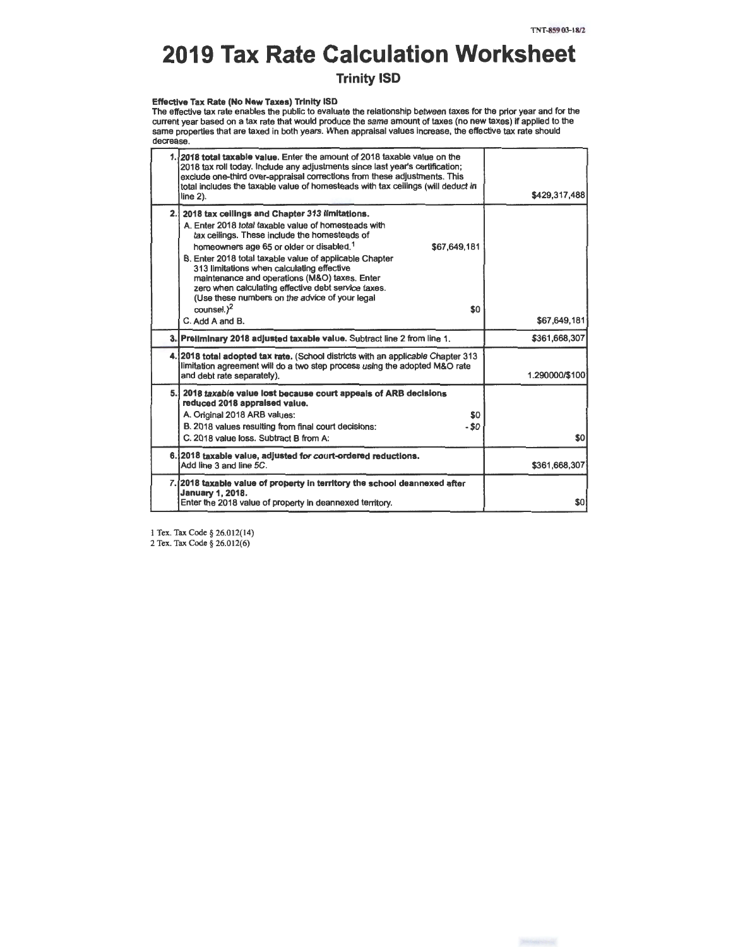# **2019 Tax Rate Calculation Worksheet**

# **Trinity ISO**

**Effective Tax Rate (No New Taxes)** Trinity 15D The effective tax rate enables the public to evaluate the relationship between taxes for the prior year and for the<br>current year based on a tax rate that would produce the same amount of taxes (no new taxes) if applied to same properties that are taxed in both years. When appraisal values increase, the effective tax rate should decrease.

|     | 1.12018 total taxable value. Enter the amount of 2018 taxable value on the<br>2018 tax roll today. Include any adjustments since last year's certification;<br>exclude one-third over-appraisal corrections from these adjustments. This<br>total includes the taxable value of homesteads with tax ceilings (will deduct in<br>line $2$ ).                                                                                                                                                                                                           | \$429,317,488  |
|-----|-------------------------------------------------------------------------------------------------------------------------------------------------------------------------------------------------------------------------------------------------------------------------------------------------------------------------------------------------------------------------------------------------------------------------------------------------------------------------------------------------------------------------------------------------------|----------------|
| 2.I | 2018 tax ceilings and Chapter 313 limitations.<br>A. Enter 2018 total taxable value of homesteads with<br>tax ceilings. These include the homesteads of<br>homeowners age 65 or older or disabled. <sup>1</sup><br>\$67.649.181<br>B. Enter 2018 total taxable value of applicable Chapter<br>313 limitations when calculating effective<br>maintenance and operations (M&O) taxes. Enter<br>zero when calculating effective debt service taxes.<br>(Use these numbers on the advice of your legal<br>countel. <sup>2</sup><br>\$0<br>C. Add A and B. | \$67,649,181   |
|     | 3. Preliminary 2018 adjusted taxable value. Subtract line 2 from line 1.                                                                                                                                                                                                                                                                                                                                                                                                                                                                              | \$361,668,307  |
|     | 4.12018 total adopted tax rate. (School districts with an applicable Chapter 313<br>limitation agreement will do a two step process using the adopted M&O rate<br>and debt rate separately).                                                                                                                                                                                                                                                                                                                                                          | 1.290000/\$100 |
|     | 5. 2018 taxable value lost because court appeals of ARB decisions<br>reduced 2018 appraised value.<br>A. Original 2018 ARB values:<br>\$0<br>B. 2018 values resulting from final court decisions:<br>$-50$<br>C. 2018 value loss. Subtract B from A:                                                                                                                                                                                                                                                                                                  | \$0            |
|     | 6.12018 taxable value, adjusted for court-ordered reductions.<br>Add line 3 and line 5C.                                                                                                                                                                                                                                                                                                                                                                                                                                                              | \$361,668,307  |
|     | 7. 2018 taxable value of property in territory the school deannexed after<br><b>January 1, 2018.</b><br>Enter the 2018 value of property in deannexed territory.                                                                                                                                                                                                                                                                                                                                                                                      | \$0            |

I Tex. Tax Code§ 26.012(14)

2 Tex. Tax Code§ 26.012(6)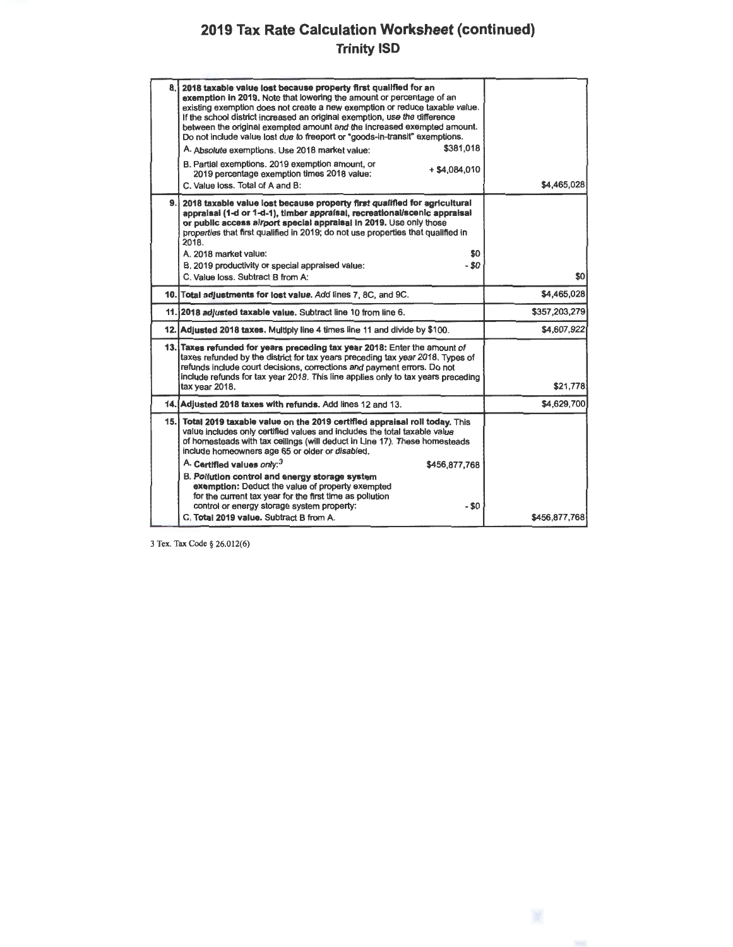# **2019 Tax Rate Calculation Worksheet (continued) Trinity ISD**

| 8. | 2018 taxable value lost because property first qualified for an<br>exemption in 2019. Note that lowering the amount or percentage of an<br>existing exemption does not create a new exemption or reduce taxable value.<br>If the school district increased an original exemption, use the difference<br>between the original exempted amount and the increased exempted amount.<br>Do not include value lost due to freeport or "goods-in-transit" exemptions.<br>\$381,018<br>A. Absolute exemptions. Use 2018 market value:<br>B. Partial exemptions. 2019 exemption amount, or<br>$+$ \$4.084.010<br>2019 percentage exemption times 2018 value:<br>C. Value loss. Total of A and B: | \$4,465,028   |
|----|-----------------------------------------------------------------------------------------------------------------------------------------------------------------------------------------------------------------------------------------------------------------------------------------------------------------------------------------------------------------------------------------------------------------------------------------------------------------------------------------------------------------------------------------------------------------------------------------------------------------------------------------------------------------------------------------|---------------|
|    | 9. 2018 taxable value lost because property first qualified for agricultural<br>appraisal (1-d or 1-d-1), timber appraisal, recreational/scenic appraisal<br>or public access airport special appraisal in 2019. Use only those<br>properties that first qualified in 2019; do not use properties that qualified in<br>2018.<br>A. 2018 market value:<br>\$0<br>$-$ \$0<br>B. 2019 productivity or special appraised value:<br>C. Value loss. Subtract B from A:                                                                                                                                                                                                                        | \$0           |
|    | 10. Total adjustments for lost value. Add lines 7, 8C, and 9C.                                                                                                                                                                                                                                                                                                                                                                                                                                                                                                                                                                                                                          | \$4,465,028   |
|    | 11.12018 adjusted taxable value. Subtract line 10 from line 6.                                                                                                                                                                                                                                                                                                                                                                                                                                                                                                                                                                                                                          | \$357,203,279 |
|    | 12. Adjusted 2018 taxes. Multiply line 4 times line 11 and divide by \$100.                                                                                                                                                                                                                                                                                                                                                                                                                                                                                                                                                                                                             | \$4,607,922   |
|    | 13. Taxes refunded for years preceding tax year 2018: Enter the amount of<br>taxes refunded by the district for tax years preceding tax year 2018. Types of<br>refunds include court decisions, corrections and payment errors. Do not<br>include refunds for tax year 2018. This line applies only to tax years preceding<br>tax year 2018.                                                                                                                                                                                                                                                                                                                                            | \$21,778      |
|    | 14. Adjusted 2018 taxes with refunds. Add lines 12 and 13.                                                                                                                                                                                                                                                                                                                                                                                                                                                                                                                                                                                                                              | \$4,629,700   |
|    | 15. Total 2019 taxable value on the 2019 certified appraisal roll today. This<br>value includes only certified values and includes the total taxable value<br>of homesteads with tax ceilings (will deduct in Line 17). These homesteads<br>include homeowners age 65 or older or disabled.                                                                                                                                                                                                                                                                                                                                                                                             |               |
|    | A. Certifled values only: <sup>3</sup><br>\$456,877,768                                                                                                                                                                                                                                                                                                                                                                                                                                                                                                                                                                                                                                 |               |
|    | B. Pollution control and energy storage system<br>exemption: Deduct the value of property exempted<br>for the current tax year for the first time as pollution<br>control or energy storage system property:<br>- \$0                                                                                                                                                                                                                                                                                                                                                                                                                                                                   |               |
|    | C. Total 2019 value. Subtract B from A.                                                                                                                                                                                                                                                                                                                                                                                                                                                                                                                                                                                                                                                 | \$456,877,768 |

3 Tex. Tax Code§ 26.012(6)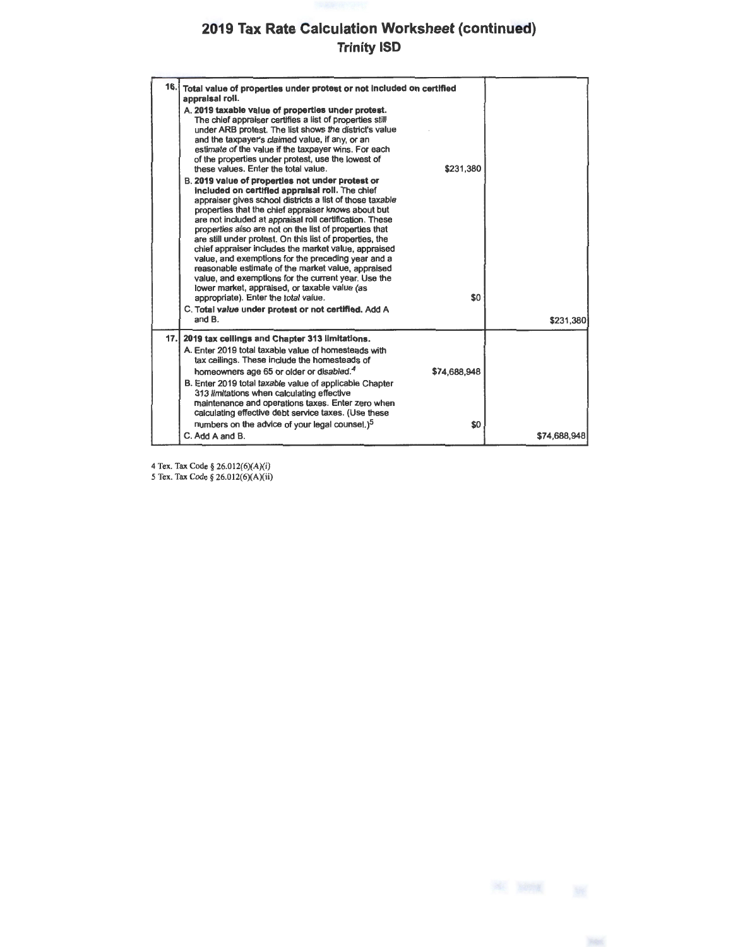# **2019 Tax Rate Calculation Worksheet (continued) Trinity ISO**

| 16.1 | Total value of properties under protest or not included on certified<br>appraisal roll.<br>A. 2019 taxable value of properties under protest.<br>The chief appraiser certifies a list of properties still<br>under ARB protest. The list shows the district's value<br>and the taxpayer's claimed value, if any, or an<br>estimate of the value if the taxpayer wins. For each<br>of the properties under protest, use the lowest of<br>\$231.380<br>these values. Enter the total value.<br>B. 2019 value of properties not under protest or<br>included on certified appraisal roll. The chief<br>appraiser gives school districts a list of those taxable<br>properties that the chief appraiser knows about but<br>are not included at appraisal roll certification. These<br>properties also are not on the list of properties that<br>are still under protest. On this list of properties, the<br>chief appraiser includes the market value, appraised<br>value, and exemptions for the preceding year and a<br>reasonable estimate of the market value, appraised<br>value, and exemptions for the current year. Use the<br>lower market, appraised, or taxable value (as<br>\$0<br>appropriate). Enter the total value.<br>C. Total value under protest or not certified. Add A<br>and B. | \$231,380    |
|------|---------------------------------------------------------------------------------------------------------------------------------------------------------------------------------------------------------------------------------------------------------------------------------------------------------------------------------------------------------------------------------------------------------------------------------------------------------------------------------------------------------------------------------------------------------------------------------------------------------------------------------------------------------------------------------------------------------------------------------------------------------------------------------------------------------------------------------------------------------------------------------------------------------------------------------------------------------------------------------------------------------------------------------------------------------------------------------------------------------------------------------------------------------------------------------------------------------------------------------------------------------------------------------------------------|--------------|
| 17.1 | 2019 tax cellings and Chapter 313 limitations.<br>A. Enter 2019 total taxable value of homesteads with<br>tax ceilings. These include the homesteads of<br>homeowners age 65 or older or disabled. <sup>4</sup><br>\$74,688,948                                                                                                                                                                                                                                                                                                                                                                                                                                                                                                                                                                                                                                                                                                                                                                                                                                                                                                                                                                                                                                                                   |              |
|      | B. Enter 2019 total taxable value of applicable Chapter<br>313 limitations when calculating effective<br>maintenance and operations taxes. Enter zero when<br>calculating effective debt service taxes. (Use these                                                                                                                                                                                                                                                                                                                                                                                                                                                                                                                                                                                                                                                                                                                                                                                                                                                                                                                                                                                                                                                                                |              |
|      | numbers on the advice of your legal counsel.) <sup>5</sup><br>\$0<br>C. Add A and B.                                                                                                                                                                                                                                                                                                                                                                                                                                                                                                                                                                                                                                                                                                                                                                                                                                                                                                                                                                                                                                                                                                                                                                                                              | \$74,688,948 |

4 Tex. Tax Code§ 26.012(6)(A)(i) *5* Tex. Tax Code§ 26.012(6)(A)(ii)

米 照相 张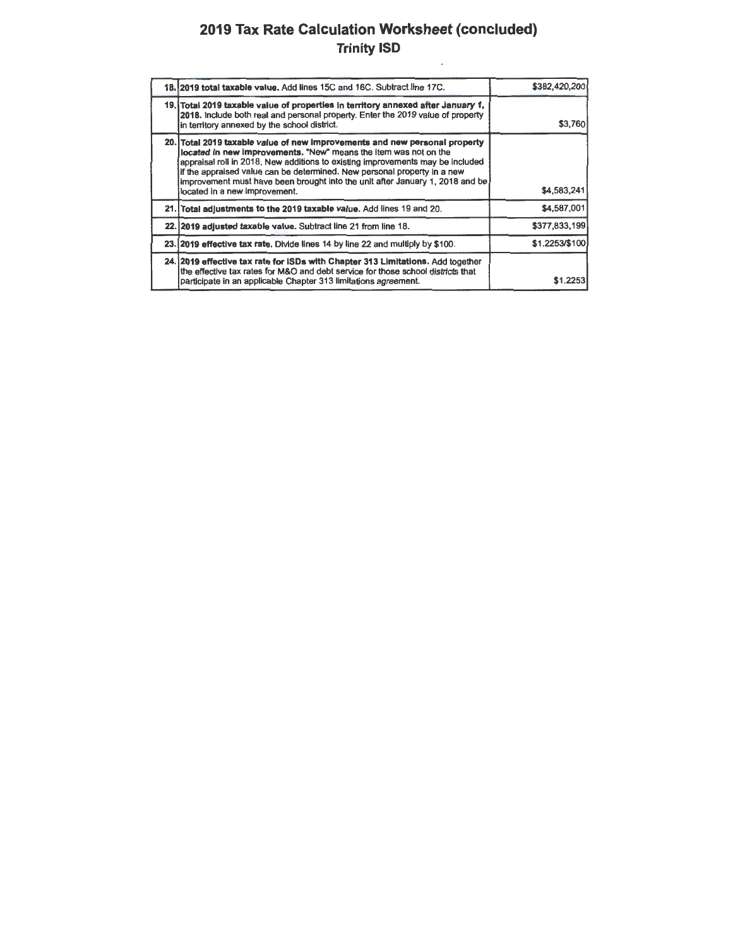# **2019 Tax Rate Calculation Worksheet (concluded) Trinity ISD**

 $\overline{\phantom{a}}$ 

| 18. 2019 total taxable value. Add lines 15C and 16C. Subtract line 17C.                                                                                                                                                                                                                                                                                                                                                        | \$382,420,200  |
|--------------------------------------------------------------------------------------------------------------------------------------------------------------------------------------------------------------------------------------------------------------------------------------------------------------------------------------------------------------------------------------------------------------------------------|----------------|
| 19. Total 2019 taxable value of properties in territory annexed after January 1,<br>2018. Include both real and personal property. Enter the 2019 value of property<br>in territory annexed by the school district.                                                                                                                                                                                                            | \$3,760        |
| 20. Total 2019 taxable value of new improvements and new personal property<br>located in new improvements. "New" means the item was not on the<br>appraisal roll in 2018. New additions to existing improvements may be included<br>if the appraised value can be determined. New personal property in a new<br>improvement must have been brought into the unit after January 1, 2018 and be<br>located in a new improvement. | \$4,583,241    |
| 21. Total adjustments to the 2019 taxable value. Add lines 19 and 20.                                                                                                                                                                                                                                                                                                                                                          | \$4,587,001    |
| 22. 2019 adjusted taxable value. Subtract line 21 from line 18.                                                                                                                                                                                                                                                                                                                                                                | \$377,833,199  |
| 23. 2019 effective tax rate. Divide lines 14 by line 22 and multiply by \$100.                                                                                                                                                                                                                                                                                                                                                 | \$1.2253/\$100 |
| 24.12019 effective tax rate for ISDs with Chapter 313 Limitations. Add together<br>the effective tax rates for M&O and debt service for those school districts that<br>participate in an applicable Chapter 313 limitations agreement.                                                                                                                                                                                         | \$1.2253       |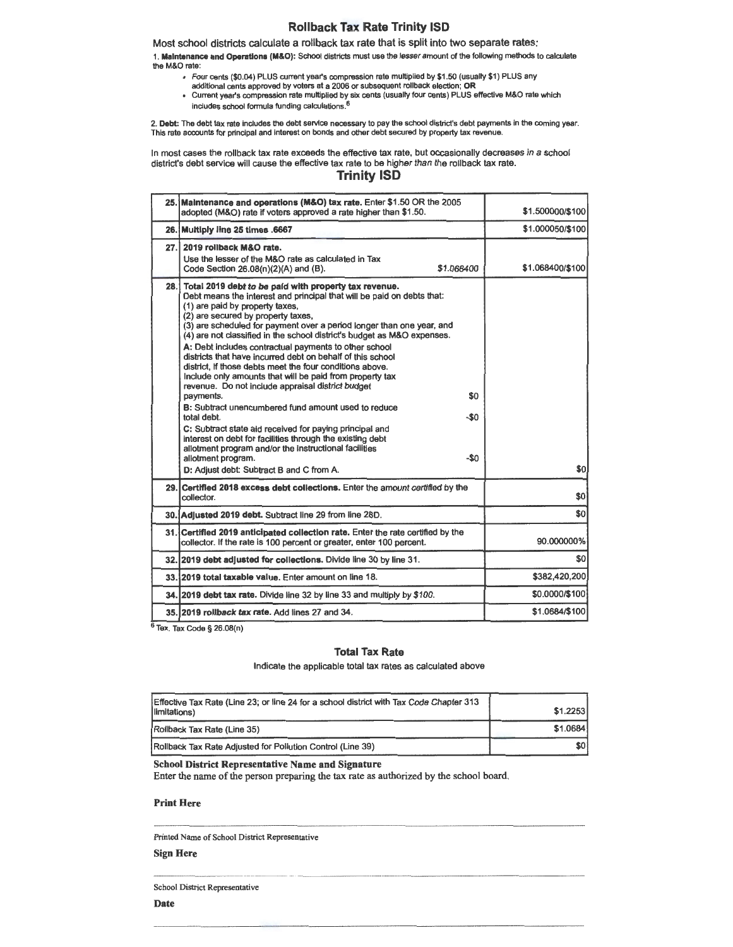#### **Rollback Tax Rate Trinity ISD**

Most school districts calculate a rollback tax rate that is split into two separate rates: 1. **Maintenance and Operations (M&O):** School districts must use the lesser amount of the following methods to calculate the M&O rate:

- Four cents (\$0.04) PLUS current year's compression rate multiplied by \$1 .50 (usually \$1) PLUS any addltional cents approved by voters at a 2006 or subsequent rollback election; **OR**
- Current year's compression rate multiplied by six cents (usually four cents) PLUS effective M&O rate which includes school formula funding calculations. 6

2. **Debt:** The debt tax rate includes the debt service necessary to pay the school district's debt payments in the coming year.<br>This rate accounts for principal and interest on bonds and other debt secured by property tax

In most cases the rollback tax rate exceeds the effective tax rate, but occasionally decreases in a school district's debt service will cause the effective tax rate to be higher than the rollback tax rate.

### **Trinity ISD**

|      | 25. Maintenance and operations (M&O) tax rate. Enter \$1.50 OR the 2005<br>adopted (M&O) rate if voters approved a rate higher than \$1.50.                                                                                                                                                                                                                                                                                                                                                                                                                                                                                                                                                                                                                                                                                                                                                                                                                                                                                            | \$1,500000/\$100 |
|------|----------------------------------------------------------------------------------------------------------------------------------------------------------------------------------------------------------------------------------------------------------------------------------------------------------------------------------------------------------------------------------------------------------------------------------------------------------------------------------------------------------------------------------------------------------------------------------------------------------------------------------------------------------------------------------------------------------------------------------------------------------------------------------------------------------------------------------------------------------------------------------------------------------------------------------------------------------------------------------------------------------------------------------------|------------------|
|      | 26. Multiply line 25 times .6667                                                                                                                                                                                                                                                                                                                                                                                                                                                                                                                                                                                                                                                                                                                                                                                                                                                                                                                                                                                                       | \$1.000050/\$100 |
| 27.1 | 2019 rollback M&O rate.<br>Use the lesser of the M&O rate as calculated in Tax<br>\$1.068400<br>Code Section 26.08(n)(2)(A) and (B).                                                                                                                                                                                                                                                                                                                                                                                                                                                                                                                                                                                                                                                                                                                                                                                                                                                                                                   | \$1.068400/\$100 |
| 28.1 | Total 2019 debt to be paid with property tax revenue.<br>Debt means the interest and principal that will be paid on debts that:<br>(1) are paid by property taxes,<br>(2) are secured by property taxes,<br>(3) are scheduled for payment over a period longer than one year, and<br>(4) are not classified in the school district's budget as M&O expenses.<br>A: Debt includes contractual payments to other school<br>districts that have incurred debt on behalf of this school<br>district. If those debts meet the four conditions above.<br>Include only amounts that will be paid from property tax<br>revenue. Do not include appraisal district budget<br>\$0<br>payments.<br><b>B:</b> Subtract unencumbered fund amount used to reduce<br>-\$0<br>total debt.<br>C: Subtract state aid received for paying principal and<br>interest on debt for facilities through the existing debt<br>allotment program and/or the instructional facilities<br>$-\$0$<br>allotment program.<br>D: Adjust debt: Subtract B and C from A. | \$0              |
|      | 29. Certified 2018 excess debt collections. Enter the amount certified by the<br>collector.                                                                                                                                                                                                                                                                                                                                                                                                                                                                                                                                                                                                                                                                                                                                                                                                                                                                                                                                            | \$0              |
|      | 30. Adjusted 2019 debt. Subtract line 29 from line 28D.                                                                                                                                                                                                                                                                                                                                                                                                                                                                                                                                                                                                                                                                                                                                                                                                                                                                                                                                                                                | \$0              |
|      | 31. Certified 2019 anticipated collection rate. Enter the rate certified by the<br>collector. If the rate is 100 percent or greater, enter 100 percent.                                                                                                                                                                                                                                                                                                                                                                                                                                                                                                                                                                                                                                                                                                                                                                                                                                                                                | 90.000000%       |
|      | 32. 2019 debt adjusted for collections. Divide line 30 by line 31.                                                                                                                                                                                                                                                                                                                                                                                                                                                                                                                                                                                                                                                                                                                                                                                                                                                                                                                                                                     | \$0              |
|      | 33. 2019 total taxable value. Enter amount on line 18.                                                                                                                                                                                                                                                                                                                                                                                                                                                                                                                                                                                                                                                                                                                                                                                                                                                                                                                                                                                 | \$382,420,200    |
|      | 34. 2019 debt tax rate. Divide line 32 by line 33 and multiply by \$100.                                                                                                                                                                                                                                                                                                                                                                                                                                                                                                                                                                                                                                                                                                                                                                                                                                                                                                                                                               | \$0.0000/\$100   |
|      | 35. 2019 rollback tax rate. Add lines 27 and 34.                                                                                                                                                                                                                                                                                                                                                                                                                                                                                                                                                                                                                                                                                                                                                                                                                                                                                                                                                                                       | \$1.0684/\$100   |

 $6$  Tex. Tax Code § 26.08(n)

#### **Total Tax Rate**

Indicate the applicable total tax rates as calculated above

| Effective Tax Rate (Line 23; or line 24 for a school district with Tax Code Chapter 313<br>limitations) | \$1.2253 |
|---------------------------------------------------------------------------------------------------------|----------|
| Rollback Tax Rate (Line 35)                                                                             | \$1,0684 |
| [Rollback Tax Rate Adjusted for Pollution Control (Line 39)                                             | \$0      |

**School District Representative Name and Signature** 

Enter the name of the person preparing the tax rate as authorized by the school board.

#### **Print Here**

Printed Name of School District Representative

### **Sign Here**

School District Representative

**Date**